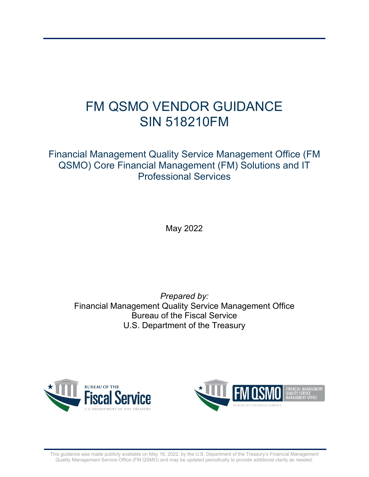# FM QSMO VENDOR GUIDANCE SIN 518210FM

Financial Management Quality Service Management Office (FM QSMO) Core Financial Management (FM) Solutions and IT Professional Services

May 2022

*Prepared by:*  Financial Management Quality Service Management Office Bureau of the Fiscal Service U.S. Department of the Treasury





This guidance was made publicly available on May 16, 2022, by the U.S. Department of the Treasury's Financial Management Quality Management Service Office (FM QSMO) and may be updated periodically to provide additional clarity as needed.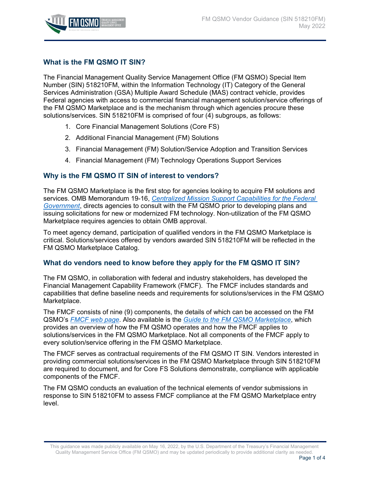

## **What is the FM QSMO IT SIN?**

The Financial Management Quality Service Management Office (FM QSMO) Special Item Number (SIN) 518210FM, within the Information Technology (IT) Category of the General Services Administration (GSA) Multiple Award Schedule (MAS) contract vehicle, provides Federal agencies with access to commercial financial management solution/service offerings of the FM QSMO Marketplace and is the mechanism through which agencies procure these solutions/services. SIN 518210FM is comprised of four (4) subgroups, as follows:

- 1. Core Financial Management Solutions (Core FS)
- 2. Additional Financial Management (FM) Solutions
- 3. Financial Management (FM) Solution/Service Adoption and Transition Services
- 4. Financial Management (FM) Technology Operations Support Services

## **Why is the FM QSMO IT SIN of interest to vendors?**

The FM QSMO Marketplace is the first stop for agencies looking to acquire FM solutions and services. OMB Memorandum 19-16, *[Centralized Mission Support Capabilities for the Federal](https://www.whitehouse.gov/wp-content/uploads/2019/04/M-19-16.pdf)  [Government](https://www.whitehouse.gov/wp-content/uploads/2019/04/M-19-16.pdf)*, directs agencies to consult with the FM QSMO prior to developing plans and issuing solicitations for new or modernized FM technology. Non-utilization of the FM QSMO Marketplace requires agencies to obtain OMB approval.

To meet agency demand, participation of qualified vendors in the FM QSMO Marketplace is critical. Solutions/services offered by vendors awarded SIN 518210FM will be reflected in the FM QSMO Marketplace Catalog.

#### **What do vendors need to know before they apply for the FM QSMO IT SIN?**

The FM QSMO, in collaboration with federal and industry stakeholders, has developed the Financial Management Capability Framework (FMCF). The FMCF includes standards and capabilities that define baseline needs and requirements for solutions/services in the FM QSMO Marketplace.

The FMCF consists of nine (9) components, the details of which can be accessed on the FM QSMO's *[FMCF web page](https://fiscal.treasury.gov/fmqsmo/financial-management-capability-framework.html)*. Also available is the *[Guide to the FM QSMO Marketplace](extension://efaidnbmnnnibpcajpcglclefindmkaj/viewer.html?pdfurl=https%3A%2F%2Ffiscal.treasury.gov%2Ffiles%2Ffmqsmo%2Fguide-to-fm-qsmo-marketplace.pdf&clen=1103384&chunk=true)*, which provides an overview of how the FM QSMO operates and how the FMCF applies to solutions/services in the FM QSMO Marketplace. Not all components of the FMCF apply to every solution/service offering in the FM QSMO Marketplace.

The FMCF serves as contractual requirements of the FM QSMO IT SIN. Vendors interested in providing commercial solutions/services in the FM QSMO Marketplace through SIN 518210FM are required to document, and for Core FS Solutions demonstrate, compliance with applicable components of the FMCF.

The FM QSMO conducts an evaluation of the technical elements of vendor submissions in response to SIN 518210FM to assess FMCF compliance at the FM QSMO Marketplace entry level.

This guidance was made publicly available on May 16, 2022, by the U.S. Department of the Treasury's Financial Management Quality Management Service Office (FM QSMO) and may be updated periodically to provide additional clarity as needed.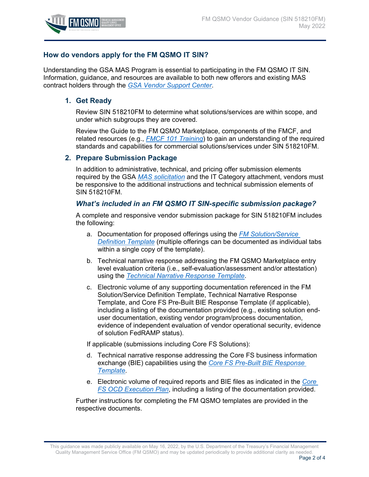

## **How do vendors apply for the FM QSMO IT SIN?**

Understanding the GSA MAS Program is essential to participating in the FM QSMO IT SIN. Information, guidance, and resources are available to both new offerors and existing MAS contract holders through the *[GSA Vendor Support Center](https://vsc.gsa.gov/vsc/)*.

#### **1. Get Ready**

Review SIN 518210FM to determine what solutions/services are within scope, and under which subgroups they are covered.

Review the Guide to the FM QSMO Marketplace, components of the FMCF, and related resources (e.g., *[FMCF 101 Training](extension://efaidnbmnnnibpcajpcglclefindmkaj/https:/www.fiscal.treasury.gov/files/fmqsmo/fmcf-101-training-for-vendors.pdf)*) to gain an understanding of the required standards and capabilities for commercial solutions/services under SIN 518210FM.

#### **2. Prepare Submission Package**

In addition to administrative, technical, and pricing offer submission elements required by the GSA *[MAS solicitation](https://eoffer.gsa.gov/util/publishedsolicitationutil?displaySolList=Y&isMas=Y)* and the IT Category attachment, vendors must be responsive to the additional instructions and technical submission elements of SIN 518210FM.

#### *What's included in an FM QSMO IT SIN-specific submission package?*

A complete and responsive vendor submission package for SIN 518210FM includes the following:

- a. Documentation for proposed offerings using the *[FM Solution/Service](https://www.fiscal.treasury.gov/fmqsmo/resources.html)  [Definition Template](https://www.fiscal.treasury.gov/fmqsmo/resources.html)* (multiple offerings can be documented as individual tabs within a single copy of the template).
- b. Technical narrative response addressing the FM QSMO Marketplace entry level evaluation criteria (i.e., self-evaluation/assessment and/or attestation) using the *[Technical Narrative Response Template](https://www.fiscal.treasury.gov/fmqsmo/resources.html)*.
- c. Electronic volume of any supporting documentation referenced in the FM Solution/Service Definition Template, Technical Narrative Response Template, and Core FS Pre-Built BIE Response Template (if applicable), including a listing of the documentation provided (e.g., existing solution enduser documentation, existing vendor program/process documentation, evidence of independent evaluation of vendor operational security, evidence of solution FedRAMP status).

If applicable (submissions including Core FS Solutions):

- d. Technical narrative response addressing the Core FS business information exchange (BIE) capabilities using the *[Core FS Pre-Built BIE Response](https://www.fiscal.treasury.gov/fmqsmo/resources.html)  [Template](https://www.fiscal.treasury.gov/fmqsmo/resources.html)*.
- e. Electronic volume of required reports and BIE files as indicated in the *[Core](https://www.fiscal.treasury.gov/fmqsmo/resources.html)  [FS OCD Execution Plan](https://www.fiscal.treasury.gov/fmqsmo/resources.html)*, including a listing of the documentation provided.

Further instructions for completing the FM QSMO templates are provided in the respective documents.

This guidance was made publicly available on May 16, 2022, by the U.S. Department of the Treasury's Financial Management Quality Management Service Office (FM QSMO) and may be updated periodically to provide additional clarity as needed.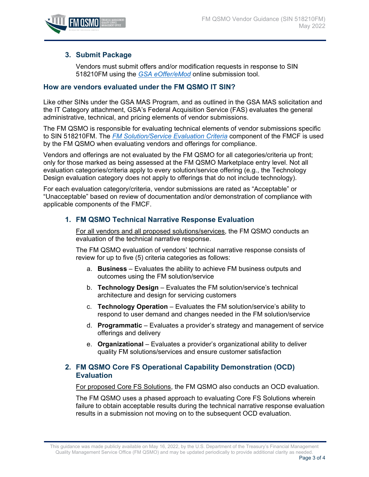

### **3. Submit Package**

Vendors must submit offers and/or modification requests in response to SIN 518210FM using the *[GSA eOffer/eMod](https://eoffer.gsa.gov/)* online submission tool.

#### **How are vendors evaluated under the FM QSMO IT SIN?**

Like other SINs under the GSA MAS Program, and as outlined in the GSA MAS solicitation and the IT Category attachment, GSA's Federal Acquisition Service (FAS) evaluates the general administrative, technical, and pricing elements of vendor submissions.

The FM QSMO is responsible for evaluating technical elements of vendor submissions specific to SIN 518210FM. The *[FM Solution/Service Evaluation Criteria](https://view.officeapps.live.com/op/view.aspx?src=https%3A%2F%2Fwww.fiscal.treasury.gov%2Ffiles%2Ffmqsmo%2Ffm-solution-service%2520evaluation-criteria.xlsx&wdOrigin=BROWSELINK)* component of the FMCF is used by the FM QSMO when evaluating vendors and offerings for compliance.

Vendors and offerings are not evaluated by the FM QSMO for all categories/criteria up front; only for those marked as being assessed at the FM QSMO Marketplace entry level. Not all evaluation categories/criteria apply to every solution/service offering (e.g., the Technology Design evaluation category does not apply to offerings that do not include technology).

For each evaluation category/criteria, vendor submissions are rated as "Acceptable" or "Unacceptable" based on review of documentation and/or demonstration of compliance with applicable components of the FMCF.

#### **1. FM QSMO Technical Narrative Response Evaluation**

For all vendors and all proposed solutions/services, the FM QSMO conducts an evaluation of the technical narrative response.

The FM QSMO evaluation of vendors' technical narrative response consists of review for up to five (5) criteria categories as follows:

- a. **Business**  Evaluates the ability to achieve FM business outputs and outcomes using the FM solution/service
- b. **Technology Design**  Evaluates the FM solution/service's technical architecture and design for servicing customers
- c. **Technology Operation**  Evaluates the FM solution/service's ability to respond to user demand and changes needed in the FM solution/service
- d. **Programmatic**  Evaluates a provider's strategy and management of service offerings and delivery
- e. **Organizational**  Evaluates a provider's organizational ability to deliver quality FM solutions/services and ensure customer satisfaction

#### **2. FM QSMO Core FS Operational Capability Demonstration (OCD) Evaluation**

For proposed Core FS Solutions, the FM QSMO also conducts an OCD evaluation.

The FM QSMO uses a phased approach to evaluating Core FS Solutions wherein failure to obtain acceptable results during the technical narrative response evaluation results in a submission not moving on to the subsequent OCD evaluation.

This guidance was made publicly available on May 16, 2022, by the U.S. Department of the Treasury's Financial Management Quality Management Service Office (FM QSMO) and may be updated periodically to provide additional clarity as needed.